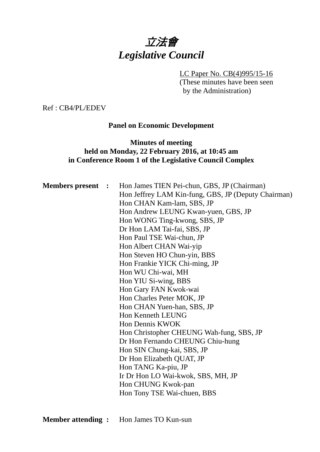# 立法會 *Legislative Council*

#### LC Paper No. CB(4)995/15-16

(These minutes have been seen by the Administration)

Ref : CB4/PL/EDEV

#### **Panel on Economic Development**

# **Minutes of meeting held on Monday, 22 February 2016, at 10:45 am in Conference Room 1 of the Legislative Council Complex**

| <b>Members present :</b> | Hon James TIEN Pei-chun, GBS, JP (Chairman)<br>Hon Jeffrey LAM Kin-fung, GBS, JP (Deputy Chairman)<br>Hon CHAN Kam-lam, SBS, JP |
|--------------------------|---------------------------------------------------------------------------------------------------------------------------------|
|                          | Hon Andrew LEUNG Kwan-yuen, GBS, JP                                                                                             |
|                          | Hon WONG Ting-kwong, SBS, JP                                                                                                    |
|                          | Dr Hon LAM Tai-fai, SBS, JP                                                                                                     |
|                          | Hon Paul TSE Wai-chun, JP                                                                                                       |
|                          | Hon Albert CHAN Wai-yip                                                                                                         |
|                          | Hon Steven HO Chun-yin, BBS                                                                                                     |
|                          | Hon Frankie YICK Chi-ming, JP                                                                                                   |
|                          | Hon WU Chi-wai, MH                                                                                                              |
|                          | Hon YIU Si-wing, BBS                                                                                                            |
|                          | Hon Gary FAN Kwok-wai                                                                                                           |
|                          | Hon Charles Peter MOK, JP                                                                                                       |
|                          | Hon CHAN Yuen-han, SBS, JP                                                                                                      |
|                          | Hon Kenneth LEUNG                                                                                                               |
|                          | Hon Dennis KWOK                                                                                                                 |
|                          | Hon Christopher CHEUNG Wah-fung, SBS, JP                                                                                        |
|                          | Dr Hon Fernando CHEUNG Chiu-hung                                                                                                |
|                          | Hon SIN Chung-kai, SBS, JP                                                                                                      |
|                          | Dr Hon Elizabeth QUAT, JP                                                                                                       |
|                          | Hon TANG Ka-piu, JP                                                                                                             |
|                          | Ir Dr Hon LO Wai-kwok, SBS, MH, JP                                                                                              |
|                          | Hon CHUNG Kwok-pan                                                                                                              |
|                          | Hon Tony TSE Wai-chuen, BBS                                                                                                     |
|                          |                                                                                                                                 |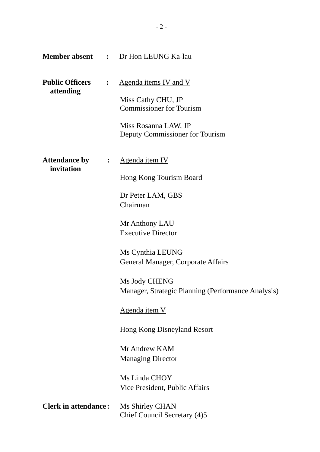|                                      |                         | <b>Member absent : Dr Hon LEUNG Ka-lau</b>                                                                                                                 |
|--------------------------------------|-------------------------|------------------------------------------------------------------------------------------------------------------------------------------------------------|
| <b>Public Officers</b><br>attending  | : $\hfill \blacksquare$ | <u>Agenda items IV and V</u><br>Miss Cathy CHU, JP<br><b>Commissioner for Tourism</b><br>Miss Rosanna LAW, JP<br>Deputy Commissioner for Tourism           |
| <b>Attendance by :</b><br>invitation |                         | <u>Agenda item IV</u><br><b>Hong Kong Tourism Board</b><br>Dr Peter LAM, GBS<br>Chairman<br>Mr Anthony LAU                                                 |
|                                      |                         | <b>Executive Director</b><br>Ms Cynthia LEUNG<br>General Manager, Corporate Affairs<br>Ms Jody CHENG<br>Manager, Strategic Planning (Performance Analysis) |
|                                      |                         | Agenda item V<br><b>Hong Kong Disneyland Resort</b><br>Mr Andrew KAM<br><b>Managing Director</b>                                                           |
| <b>Clerk in attendance:</b>          |                         | Ms Linda CHOY<br>Vice President, Public Affairs<br>Ms Shirley CHAN                                                                                         |
|                                      |                         | Chief Council Secretary (4)5                                                                                                                               |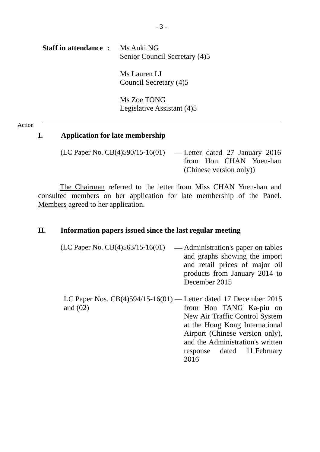# **Staff in attendance :** Ms Anki NG Senior Council Secretary (4)5 Ms Lauren LI Council Secretary (4)5 Ms Zoe TONG Legislative Assistant (4)5

#### Action

#### **I. Application for late membership**

(LC Paper No. CB(4)590/15-16(01) — Letter dated 27 January 2016 from Hon CHAN Yuen-han (Chinese version only))

The Chairman referred to the letter from Miss CHAN Yuen-han and consulted members on her application for late membership of the Panel. Members agreed to her application.

#### **II. Information papers issued since the last regular meeting**

- $(LC$  Paper No.  $CB(4)563/15-16(01)$  Administration's paper on tables and graphs showing the import and retail prices of major oil products from January 2014 to December 2015
- LC Paper Nos. CB(4)594/15-16(01) Letter dated 17 December 2015 and (02) from Hon TANG Ka-piu on New Air Traffic Control System at the Hong Kong International Airport (Chinese version only), and the Administration's written response dated 11 February 2016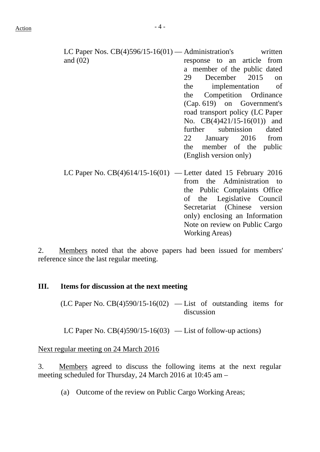LC Paper Nos. CB(4)596/15-16(01) — Administration's written and (02) response to an article from a member of the public dated 29 December 2015 on the implementation of the Competition Ordinance (Cap. 619) on Government's road transport policy (LC Paper No. CB(4)421/15-16(01)) and further submission dated 22 January 2016 from the member of the public (English version only) LC Paper No.  $CB(4)614/15-16(01)$  — Letter dated 15 February 2016 from the Administration to the Public Complaints Office

> of the Legislative Council Secretariat (Chinese version only) enclosing an Information Note on review on Public Cargo

Working Areas)

2. Members noted that the above papers had been issued for members' reference since the last regular meeting.

## **III. Items for discussion at the next meeting**

 $(LC$  Paper No.  $CB(4)590/15-16(02)$  — List of outstanding items for discussion

LC Paper No.  $CB(4)590/15-16(03)$  — List of follow-up actions)

Next regular meeting on 24 March 2016

3. Members agreed to discuss the following items at the next regular meeting scheduled for Thursday, 24 March 2016 at 10:45 am –

(a) Outcome of the review on Public Cargo Working Areas;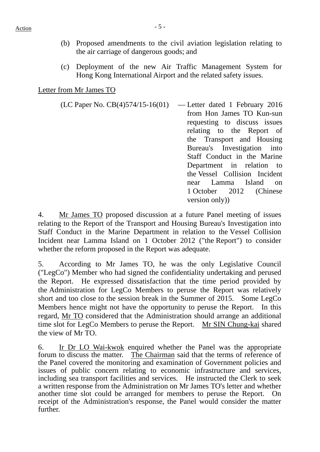- (b) Proposed amendments to the civil aviation legislation relating to the air carriage of dangerous goods; and
- (c) Deployment of the new Air Traffic Management System for Hong Kong International Airport and the related safety issues.

#### Letter from Mr James TO

(LC Paper No. CB(4)574/15-16(01) — Letter dated 1 February 2016 from Hon James TO Kun-sun requesting to discuss issues relating to the Report of the Transport and Housing Bureau's Investigation into Staff Conduct in the Marine Department in relation to the Vessel Collision Incident near Lamma Island on 1 October 2012 (Chinese version only))

4. Mr James TO proposed discussion at a future Panel meeting of issues relating to the Report of the Transport and Housing Bureau's Investigation into Staff Conduct in the Marine Department in relation to the Vessel Collision Incident near Lamma Island on 1 October 2012 ("the Report") to consider whether the reform proposed in the Report was adequate.

5. According to Mr James TO, he was the only Legislative Council ("LegCo") Member who had signed the confidentiality undertaking and perused the Report. He expressed dissatisfaction that the time period provided by the Administration for LegCo Members to peruse the Report was relatively short and too close to the session break in the Summer of 2015. Some LegCo Members hence might not have the opportunity to peruse the Report. In this regard, Mr TO considered that the Administration should arrange an additional time slot for LegCo Members to peruse the Report. Mr SIN Chung-kai shared the view of Mr TO.

6. Ir Dr LO Wai-kwok enquired whether the Panel was the appropriate forum to discuss the matter. The Chairman said that the terms of reference of the Panel covered the monitoring and examination of Government policies and issues of public concern relating to economic infrastructure and services, including sea transport facilities and services. He instructed the Clerk to seek a written response from the Administration on Mr James TO's letter and whether another time slot could be arranged for members to peruse the Report. On receipt of the Administration's response, the Panel would consider the matter further.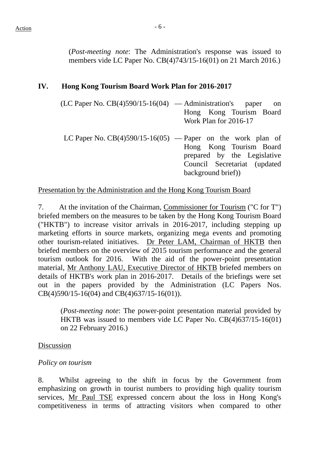(*Post-meeting note*: The Administration's response was issued to members vide LC Paper No. CB(4)743/15-16(01) on 21 March 2016.)

## **IV. Hong Kong Tourism Board Work Plan for 2016-2017**

- $(LC$  Paper No.  $CB(4)590/15-16(04)$  Administration's paper on Hong Kong Tourism Board Work Plan for 2016-17
	- LC Paper No.  $CB(4)590/15-16(05)$  Paper on the work plan of Hong Kong Tourism Board prepared by the Legislative Council Secretariat (updated background brief))

## Presentation by the Administration and the Hong Kong Tourism Board

7. At the invitation of the Chairman, Commissioner for Tourism ("C for T") briefed members on the measures to be taken by the Hong Kong Tourism Board ("HKTB") to increase visitor arrivals in 2016-2017, including stepping up marketing efforts in source markets, organizing mega events and promoting other tourism-related initiatives. Dr Peter LAM, Chairman of HKTB then briefed members on the overview of 2015 tourism performance and the general tourism outlook for 2016. With the aid of the power-point presentation material, Mr Anthony LAU, Executive Director of HKTB briefed members on details of HKTB's work plan in 2016-2017. Details of the briefings were set out in the papers provided by the Administration (LC Papers Nos. CB(4)590/15-16(04) and CB(4)637/15-16(01)).

(*Post-meeting note*: The power-point presentation material provided by HKTB was issued to members vide LC Paper No. CB(4)637/15-16(01) on 22 February 2016.)

#### Discussion

#### *Policy on tourism*

8. Whilst agreeing to the shift in focus by the Government from emphasizing on growth in tourist numbers to providing high quality tourism services, Mr Paul TSE expressed concern about the loss in Hong Kong's competitiveness in terms of attracting visitors when compared to other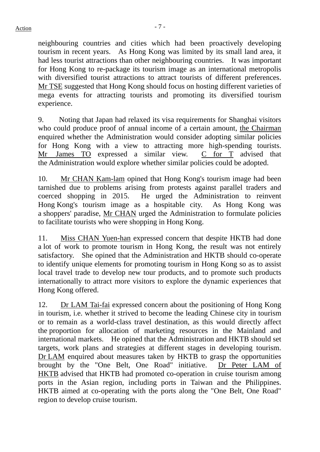neighbouring countries and cities which had been proactively developing tourism in recent years. As Hong Kong was limited by its small land area, it had less tourist attractions than other neighbouring countries. It was important for Hong Kong to re-package its tourism image as an international metropolis with diversified tourist attractions to attract tourists of different preferences. Mr TSE suggested that Hong Kong should focus on hosting different varieties of mega events for attracting tourists and promoting its diversified tourism experience.

9. Noting that Japan had relaxed its visa requirements for Shanghai visitors who could produce proof of annual income of a certain amount, the Chairman enquired whether the Administration would consider adopting similar policies for Hong Kong with a view to attracting more high-spending tourists. Mr James TO expressed a similar view. C for T advised that the Administration would explore whether similar policies could be adopted.

10. Mr CHAN Kam-lam opined that Hong Kong's tourism image had been tarnished due to problems arising from protests against parallel traders and coerced shopping in 2015. He urged the Administration to reinvent Hong Kong's tourism image as a hospitable city. As Hong Kong was a shoppers' paradise, Mr CHAN urged the Administration to formulate policies to facilitate tourists who were shopping in Hong Kong.

11. Miss CHAN Yuen-han expressed concern that despite HKTB had done a lot of work to promote tourism in Hong Kong, the result was not entirely satisfactory. She opined that the Administration and HKTB should co-operate to identify unique elements for promoting tourism in Hong Kong so as to assist local travel trade to develop new tour products, and to promote such products internationally to attract more visitors to explore the dynamic experiences that Hong Kong offered.

12. Dr LAM Tai-fai expressed concern about the positioning of Hong Kong in tourism, i.e. whether it strived to become the leading Chinese city in tourism or to remain as a world-class travel destination, as this would directly affect the proportion for allocation of marketing resources in the Mainland and international markets. He opined that the Administration and HKTB should set targets, work plans and strategies at different stages in developing tourism. Dr LAM enquired about measures taken by HKTB to grasp the opportunities brought by the "One Belt, One Road" initiative. Dr Peter LAM of HKTB advised that HKTB had promoted co-operation in cruise tourism among ports in the Asian region, including ports in Taiwan and the Philippines. HKTB aimed at co-operating with the ports along the "One Belt, One Road" region to develop cruise tourism.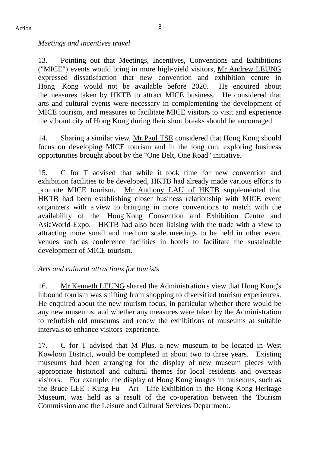# *Meetings and incentives travel*

13. Pointing out that Meetings, Incentives, Conventions and Exhibitions ("MICE") events would bring in more high-yield visitors, Mr Andrew LEUNG expressed dissatisfaction that new convention and exhibition centre in Hong Kong would not be available before 2020. He enquired about the measures taken by HKTB to attract MICE business. He considered that arts and cultural events were necessary in complementing the development of MICE tourism, and measures to facilitate MICE visitors to visit and experience the vibrant city of Hong Kong during their short breaks should be encouraged.

14. Sharing a similar view, Mr Paul TSE considered that Hong Kong should focus on developing MICE tourism and in the long run, exploring business opportunities brought about by the "One Belt, One Road" initiative.

15. C for T advised that while it took time for new convention and exhibition facilities to be developed, HKTB had already made various efforts to promote MICE tourism. Mr Anthony LAU of HKTB supplemented that HKTB had been establishing closer business relationship with MICE event organizers with a view to bringing in more conventions to match with the availability of the Hong Kong Convention and Exhibition Centre and AsiaWorld-Expo. HKTB had also been liaising with the trade with a view to attracting more small and medium scale meetings to be held in other event venues such as conference facilities in hotels to facilitate the sustainable development of MICE tourism.

# *Arts and cultural attractions for tourists*

16. Mr Kenneth LEUNG shared the Administration's view that Hong Kong's inbound tourism was shifting from shopping to diversified tourism experiences. He enquired about the new tourism focus, in particular whether there would be any new museums, and whether any measures were taken by the Administration to refurbish old museums and renew the exhibitions of museums at suitable intervals to enhance visitors' experience.

17. C for T advised that M Plus, a new museum to be located in West Kowloon District, would be completed in about two to three years. Existing museums had been arranging for the display of new museum pieces with appropriate historical and cultural themes for local residents and overseas visitors. For example, the display of Hong Kong images in museums, such as the Bruce LEE : Kung Fu – Art - Life Exhibition in the Hong Kong Heritage Museum, was held as a result of the co-operation between the Tourism Commission and the Leisure and Cultural Services Department.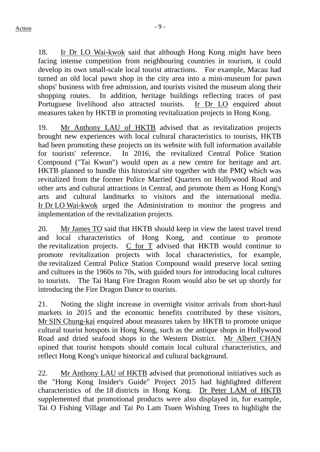18. Ir Dr LO Wai-kwok said that although Hong Kong might have been facing intense competition from neighbouring countries in tourism, it could develop its own small-scale local tourist attractions. For example, Macau had turned an old local pawn shop in the city area into a mini-museum for pawn shops' business with free admission, and tourists visited the museum along their shopping routes. In addition, heritage buildings reflecting traces of past Portuguese livelihood also attracted tourists. Ir Dr LO enquired about measures taken by HKTB in promoting revitalization projects in Hong Kong.

19. Mr Anthony LAU of HKTB advised that as revitalization projects brought new experiences with local cultural characteristics to tourists, HKTB had been promoting these projects on its website with full information available for tourists' reference. In 2016, the revitalized Central Police Station Compound ("Tai Kwun") would open as a new centre for heritage and art. HKTB planned to bundle this historical site together with the PMQ which was revitalized from the former Police Married Quarters on Hollywood Road and other arts and cultural attractions in Central, and promote them as Hong Kong's arts and cultural landmarks to visitors and the international media. Ir Dr LO Wai-kwok urged the Administration to monitor the progress and implementation of the revitalization projects.

20. Mr James TO said that HKTB should keep in view the latest travel trend and local characteristics of Hong Kong, and continue to promote the revitalization projects. C for T advised that HKTB would continue to promote revitalization projects with local characteristics, for example, the revitalized Central Police Station Compound would preserve local setting and cultures in the 1960s to 70s, with guided tours for introducing local cultures to tourists. The Tai Hang Fire Dragon Room would also be set up shortly for introducing the Fire Dragon Dance to tourists.

21. Noting the slight increase in overnight visitor arrivals from short-haul markets in 2015 and the economic benefits contributed by these visitors, Mr SIN Chung-kai enquired about measures taken by HKTB to promote unique cultural tourist hotspots in Hong Kong, such as the antique shops in Hollywood Road and dried seafood shops in the Western District. Mr Albert CHAN opined that tourist hotspots should contain local cultural characteristics, and reflect Hong Kong's unique historical and cultural background.

22. Mr Anthony LAU of HKTB advised that promotional initiatives such as the "Hong Kong Insider's Guide" Project 2015 had highlighted different characteristics of the 18 districts in Hong Kong. Dr Peter LAM of HKTB supplemented that promotional products were also displayed in, for example, Tai O Fishing Village and Tai Po Lam Tsuen Wishing Trees to highlight the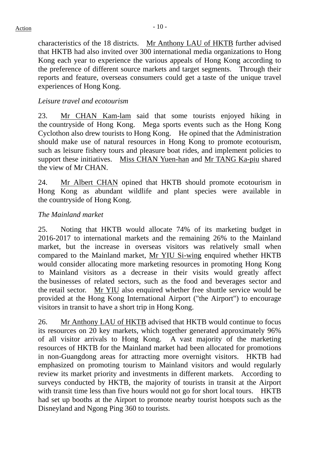characteristics of the 18 districts. Mr Anthony LAU of HKTB further advised that HKTB had also invited over 300 international media organizations to Hong Kong each year to experience the various appeals of Hong Kong according to the preference of different source markets and target segments. Through their reports and feature, overseas consumers could get a taste of the unique travel experiences of Hong Kong.

## *Leisure travel and ecotourism*

23. Mr CHAN Kam-lam said that some tourists enjoyed hiking in the countryside of Hong Kong. Mega sports events such as the Hong Kong Cyclothon also drew tourists to Hong Kong. He opined that the Administration should make use of natural resources in Hong Kong to promote ecotourism, such as leisure fishery tours and pleasure boat rides, and implement policies to support these initiatives. Miss CHAN Yuen-han and Mr TANG Ka-piu shared the view of Mr CHAN.

24. Mr Albert CHAN opined that HKTB should promote ecotourism in Hong Kong as abundant wildlife and plant species were available in the countryside of Hong Kong.

## *The Mainland market*

25. Noting that HKTB would allocate 74% of its marketing budget in 2016-2017 to international markets and the remaining 26% to the Mainland market, but the increase in overseas visitors was relatively small when compared to the Mainland market, Mr YIU Si-wing enquired whether HKTB would consider allocating more marketing resources in promoting Hong Kong to Mainland visitors as a decrease in their visits would greatly affect the businesses of related sectors, such as the food and beverages sector and the retail sector. Mr YIU also enquired whether free shuttle service would be provided at the Hong Kong International Airport ("the Airport") to encourage visitors in transit to have a short trip in Hong Kong.

26. Mr Anthony LAU of HKTB advised that HKTB would continue to focus its resources on 20 key markets, which together generated approximately 96% of all visitor arrivals to Hong Kong. A vast majority of the marketing resources of HKTB for the Mainland market had been allocated for promotions in non-Guangdong areas for attracting more overnight visitors. HKTB had emphasized on promoting tourism to Mainland visitors and would regularly review its market priority and investments in different markets. According to surveys conducted by HKTB, the majority of tourists in transit at the Airport with transit time less than five hours would not go for short local tours. HKTB had set up booths at the Airport to promote nearby tourist hotspots such as the Disneyland and Ngong Ping 360 to tourists.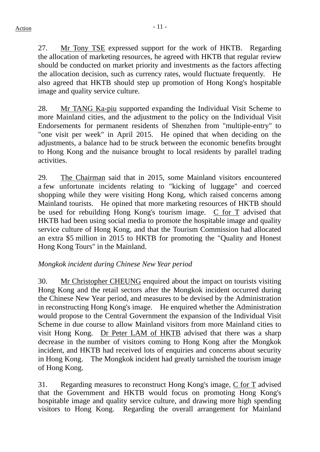27. Mr Tony TSE expressed support for the work of HKTB. Regarding the allocation of marketing resources, he agreed with HKTB that regular review should be conducted on market priority and investments as the factors affecting the allocation decision, such as currency rates, would fluctuate frequently. He also agreed that HKTB should step up promotion of Hong Kong's hospitable image and quality service culture.

28. Mr TANG Ka-piu supported expanding the Individual Visit Scheme to more Mainland cities, and the adjustment to the policy on the Individual Visit Endorsements for permanent residents of Shenzhen from "multiple-entry" to "one visit per week" in April 2015. He opined that when deciding on the adjustments, a balance had to be struck between the economic benefits brought to Hong Kong and the nuisance brought to local residents by parallel trading activities.

29. The Chairman said that in 2015, some Mainland visitors encountered a few unfortunate incidents relating to "kicking of luggage" and coerced shopping while they were visiting Hong Kong, which raised concerns among Mainland tourists. He opined that more marketing resources of HKTB should be used for rebuilding Hong Kong's tourism image. C for T advised that HKTB had been using social media to promote the hospitable image and quality service culture of Hong Kong, and that the Tourism Commission had allocated an extra \$5 million in 2015 to HKTB for promoting the "Quality and Honest Hong Kong Tours" in the Mainland.

# *Mongkok incident during Chinese New Year period*

30. Mr Christopher CHEUNG enquired about the impact on tourists visiting Hong Kong and the retail sectors after the Mongkok incident occurred during the Chinese New Year period, and measures to be devised by the Administration in reconstructing Hong Kong's image. He enquired whether the Administration would propose to the Central Government the expansion of the Individual Visit Scheme in due course to allow Mainland visitors from more Mainland cities to visit Hong Kong. Dr Peter LAM of HKTB advised that there was a sharp decrease in the number of visitors coming to Hong Kong after the Mongkok incident, and HKTB had received lots of enquiries and concerns about security in Hong Kong. The Mongkok incident had greatly tarnished the tourism image of Hong Kong.

31. Regarding measures to reconstruct Hong Kong's image, C for T advised that the Government and HKTB would focus on promoting Hong Kong's hospitable image and quality service culture, and drawing more high spending visitors to Hong Kong. Regarding the overall arrangement for Mainland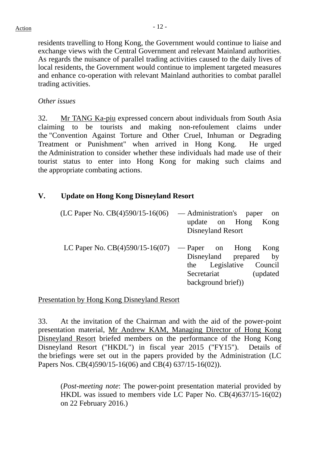residents travelling to Hong Kong, the Government would continue to liaise and exchange views with the Central Government and relevant Mainland authorities. As regards the nuisance of parallel trading activities caused to the daily lives of local residents, the Government would continue to implement targeted measures and enhance co-operation with relevant Mainland authorities to combat parallel trading activities.

#### *Other issues*

32. Mr TANG Ka-piu expressed concern about individuals from South Asia claiming to be tourists and making non-refoulement claims under the "Convention Against Torture and Other Cruel, Inhuman or Degrading Treatment or Punishment" when arrived in Hong Kong. He urged the Administration to consider whether these individuals had made use of their tourist status to enter into Hong Kong for making such claims and the appropriate combating actions.

## **V. Update on Hong Kong Disneyland Resort**

| (LC Paper No. $CB(4)590/15-16(06)$                     | — Administration's paper<br>- on |                   |                         |  |
|--------------------------------------------------------|----------------------------------|-------------------|-------------------------|--|
|                                                        |                                  |                   | update on Hong Kong     |  |
|                                                        |                                  | Disneyland Resort |                         |  |
| LC Paper No. $CB(4)590/15-16(07)$ - Paper on Hong Kong |                                  |                   | Disneyland prepared by  |  |
|                                                        |                                  |                   | the Legislative Council |  |

Secretariat (updated

background brief))

Presentation by Hong Kong Disneyland Resort

33. At the invitation of the Chairman and with the aid of the power-point presentation material, Mr Andrew KAM, Managing Director of Hong Kong Disneyland Resort briefed members on the performance of the Hong Kong Disneyland Resort ("HKDL") in fiscal year 2015 ("FY15"). Details of the briefings were set out in the papers provided by the Administration (LC Papers Nos. CB(4)590/15-16(06) and CB(4) 637/15-16(02)).

(*Post-meeting note*: The power-point presentation material provided by HKDL was issued to members vide LC Paper No. CB(4)637/15-16(02) on 22 February 2016.)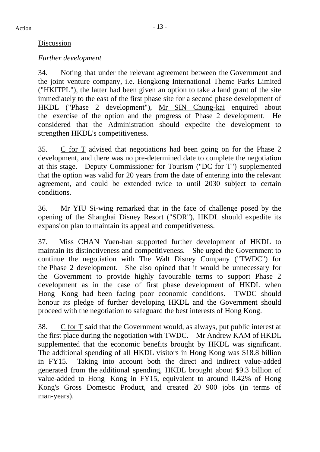## Discussion

# *Further development*

34. Noting that under the relevant agreement between the Government and the joint venture company, i.e. Hongkong International Theme Parks Limited ("HKITPL"), the latter had been given an option to take a land grant of the site immediately to the east of the first phase site for a second phase development of HKDL ("Phase 2 development"), Mr SIN Chung-kai enquired about the exercise of the option and the progress of Phase 2 development. He considered that the Administration should expedite the development to strengthen HKDL's competitiveness.

35. C for T advised that negotiations had been going on for the Phase 2 development, and there was no pre-determined date to complete the negotiation at this stage. Deputy Commissioner for Tourism ("DC for T") supplemented that the option was valid for 20 years from the date of entering into the relevant agreement, and could be extended twice to until 2030 subject to certain conditions.

36. Mr YIU Si-wing remarked that in the face of challenge posed by the opening of the Shanghai Disney Resort ("SDR"), HKDL should expedite its expansion plan to maintain its appeal and competitiveness.

37. Miss CHAN Yuen-han supported further development of HKDL to maintain its distinctiveness and competitiveness. She urged the Government to continue the negotiation with The Walt Disney Company ("TWDC") for the Phase 2 development. She also opined that it would be unnecessary for the Government to provide highly favourable terms to support Phase 2 development as in the case of first phase development of HKDL when Hong Kong had been facing poor economic conditions. TWDC should honour its pledge of further developing HKDL and the Government should proceed with the negotiation to safeguard the best interests of Hong Kong.

38. C for T said that the Government would, as always, put public interest at the first place during the negotiation with TWDC. Mr Andrew KAM of HKDL supplemented that the economic benefits brought by HKDL was significant. The additional spending of all HKDL visitors in Hong Kong was \$18.8 billion in FY15. Taking into account both the direct and indirect value-added generated from the additional spending, HKDL brought about \$9.3 billion of value-added to Hong Kong in FY15, equivalent to around 0.42% of Hong Kong's Gross Domestic Product, and created 20 900 jobs (in terms of man-years).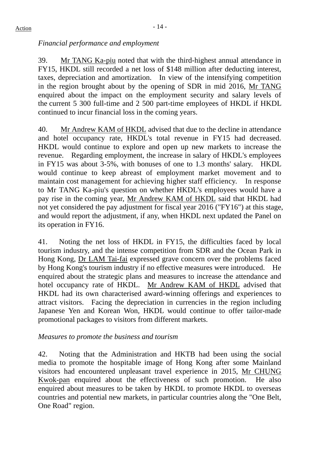# *Financial performance and employment*

39. Mr TANG Ka-piu noted that with the third-highest annual attendance in FY15, HKDL still recorded a net loss of \$148 million after deducting interest, taxes, depreciation and amortization. In view of the intensifying competition in the region brought about by the opening of SDR in mid 2016, Mr TANG enquired about the impact on the employment security and salary levels of the current 5 300 full-time and 2 500 part-time employees of HKDL if HKDL continued to incur financial loss in the coming years.

40. Mr Andrew KAM of HKDL advised that due to the decline in attendance and hotel occupancy rate, HKDL's total revenue in FY15 had decreased. HKDL would continue to explore and open up new markets to increase the revenue. Regarding employment, the increase in salary of HKDL's employees in FY15 was about 3-5%, with bonuses of one to 1.3 months' salary. HKDL would continue to keep abreast of employment market movement and to maintain cost management for achieving higher staff efficiency. In response to Mr TANG Ka-piu's question on whether HKDL's employees would have a pay rise in the coming year, Mr Andrew KAM of HKDL said that HKDL had not yet considered the pay adjustment for fiscal year 2016 ("FY16") at this stage, and would report the adjustment, if any, when HKDL next updated the Panel on its operation in FY16.

41. Noting the net loss of HKDL in FY15, the difficulties faced by local tourism industry, and the intense competition from SDR and the Ocean Park in Hong Kong, Dr LAM Tai-fai expressed grave concern over the problems faced by Hong Kong's tourism industry if no effective measures were introduced. He enquired about the strategic plans and measures to increase the attendance and hotel occupancy rate of HKDL. Mr Andrew KAM of HKDL advised that HKDL had its own characterised award-winning offerings and experiences to attract visitors. Facing the depreciation in currencies in the region including Japanese Yen and Korean Won, HKDL would continue to offer tailor-made promotional packages to visitors from different markets.

# *Measures to promote the business and tourism*

42. Noting that the Administration and HKTB had been using the social media to promote the hospitable image of Hong Kong after some Mainland visitors had encountered unpleasant travel experience in 2015, Mr CHUNG Kwok-pan enquired about the effectiveness of such promotion. He also enquired about measures to be taken by HKDL to promote HKDL to overseas countries and potential new markets, in particular countries along the "One Belt, One Road" region.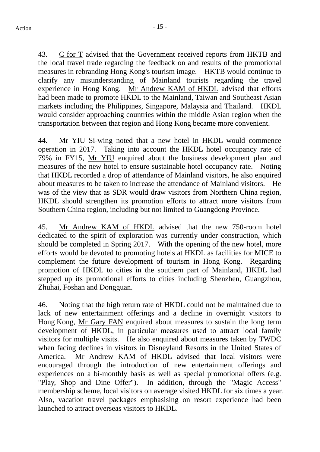43. C for T advised that the Government received reports from HKTB and the local travel trade regarding the feedback on and results of the promotional measures in rebranding Hong Kong's tourism image. HKTB would continue to clarify any misunderstanding of Mainland tourists regarding the travel experience in Hong Kong. Mr Andrew KAM of HKDL advised that efforts had been made to promote HKDL to the Mainland, Taiwan and Southeast Asian markets including the Philippines, Singapore, Malaysia and Thailand. HKDL would consider approaching countries within the middle Asian region when the transportation between that region and Hong Kong became more convenient.

44. Mr YIU Si-wing noted that a new hotel in HKDL would commence operation in 2017. Taking into account the HKDL hotel occupancy rate of 79% in FY15, Mr YIU enquired about the business development plan and measures of the new hotel to ensure sustainable hotel occupancy rate. Noting that HKDL recorded a drop of attendance of Mainland visitors, he also enquired about measures to be taken to increase the attendance of Mainland visitors. He was of the view that as SDR would draw visitors from Northern China region, HKDL should strengthen its promotion efforts to attract more visitors from Southern China region, including but not limited to Guangdong Province.

45. Mr Andrew KAM of HKDL advised that the new 750-room hotel dedicated to the spirit of exploration was currently under construction, which should be completed in Spring 2017. With the opening of the new hotel, more efforts would be devoted to promoting hotels at HKDL as facilities for MICE to complement the future development of tourism in Hong Kong. Regarding promotion of HKDL to cities in the southern part of Mainland, HKDL had stepped up its promotional efforts to cities including Shenzhen, Guangzhou, Zhuhai, Foshan and Dongguan.

46. Noting that the high return rate of HKDL could not be maintained due to lack of new entertainment offerings and a decline in overnight visitors to Hong Kong, Mr Gary FAN enquired about measures to sustain the long term development of HKDL, in particular measures used to attract local family visitors for multiple visits. He also enquired about measures taken by TWDC when facing declines in visitors in Disneyland Resorts in the United States of America. Mr Andrew KAM of HKDL advised that local visitors were encouraged through the introduction of new entertainment offerings and experiences on a bi-monthly basis as well as special promotional offers (e.g. "Play, Shop and Dine Offer"). In addition, through the "Magic Access" membership scheme, local visitors on average visited HKDL for six times a year. Also, vacation travel packages emphasising on resort experience had been launched to attract overseas visitors to HKDL.